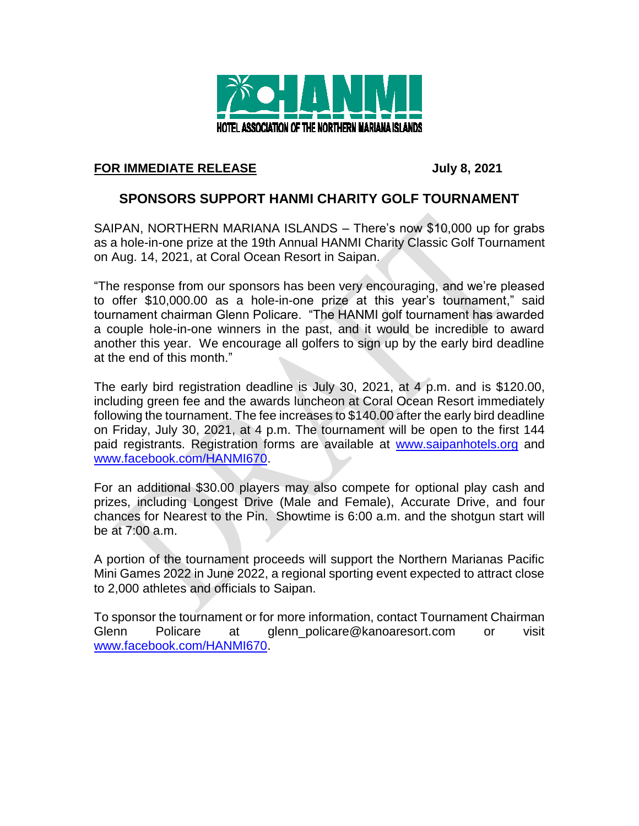

## **FOR IMMEDIATE RELEASE July 8, 2021**

## **SPONSORS SUPPORT HANMI CHARITY GOLF TOURNAMENT**

SAIPAN, NORTHERN MARIANA ISLANDS – There's now \$10,000 up for grabs as a hole-in-one prize at the 19th Annual HANMI Charity Classic Golf Tournament on Aug. 14, 2021, at Coral Ocean Resort in Saipan.

"The response from our sponsors has been very encouraging, and we're pleased to offer \$10,000.00 as a hole-in-one prize at this year's tournament," said tournament chairman Glenn Policare. "The HANMI golf tournament has awarded a couple hole-in-one winners in the past, and it would be incredible to award another this year. We encourage all golfers to sign up by the early bird deadline at the end of this month."

The early bird registration deadline is July 30, 2021, at 4 p.m. and is \$120.00, including green fee and the awards luncheon at Coral Ocean Resort immediately following the tournament. The fee increases to \$140.00 after the early bird deadline on Friday, July 30, 2021, at 4 p.m. The tournament will be open to the first 144 paid registrants. Registration forms are available at [www.saipanhotels.org](http://www.saipanhotels.org/) and [www.facebook.com/HANMI670.](http://www.facebook.com/HANMI670)

For an additional \$30.00 players may also compete for optional play cash and prizes, including Longest Drive (Male and Female), Accurate Drive, and four chances for Nearest to the Pin. Showtime is 6:00 a.m. and the shotgun start will be at 7:00 a.m.

A portion of the tournament proceeds will support the Northern Marianas Pacific Mini Games 2022 in June 2022, a regional sporting event expected to attract close to 2,000 athletes and officials to Saipan.

To sponsor the tournament or for more information, contact Tournament Chairman Glenn Policare at glenn\_policare@kanoaresort.com or visit [www.facebook.com/HANMI670.](http://www.facebook.com/HANMI670)